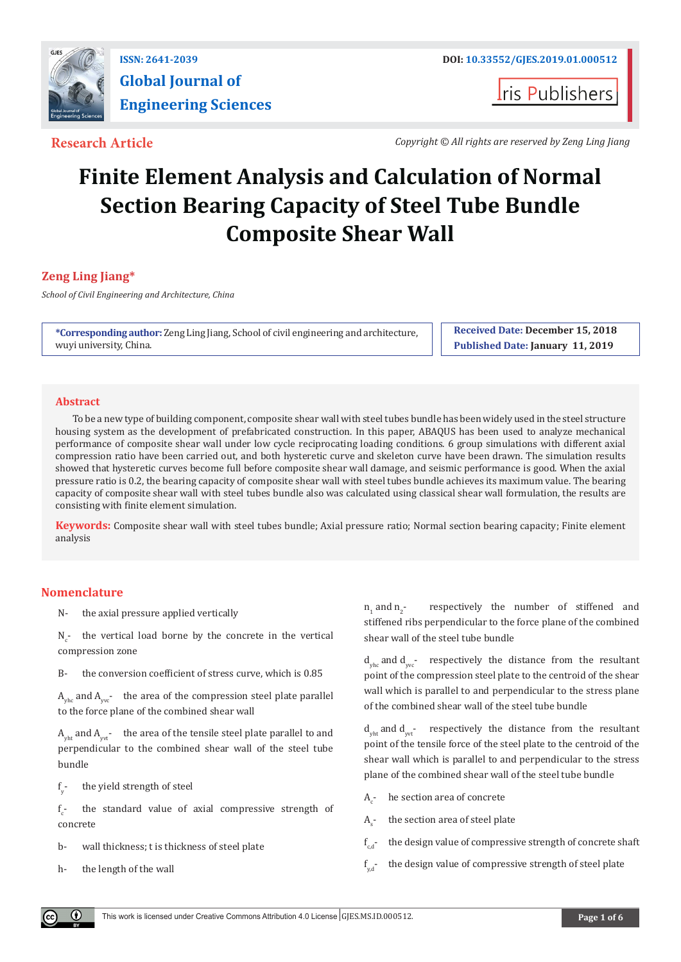

**Global Journal of Engineering Sciences**

**I**ris Publishers

**Research Article** *Copyright © All rights are reserved by Zeng Ling Jiang**Copyright © All rights are reserved by Zeng Ling Jiang* 

# **Finite Element Analysis and Calculation of Normal Section Bearing Capacity of Steel Tube Bundle Composite Shear Wall**

# **Zeng Ling Jiang\***

*School of Civil Engineering and Architecture, China*

**\*Corresponding author:** Zeng Ling Jiang, School of civil engineering and architecture, wuyi university, China.

**Received Date: December 15, 2018 Published Date: January 11, 2019**

#### **Abstract**

To be a new type of building component, composite shear wall with steel tubes bundle has been widely used in the steel structure housing system as the development of prefabricated construction. In this paper, ABAQUS has been used to analyze mechanical performance of composite shear wall under low cycle reciprocating loading conditions. 6 group simulations with different axial compression ratio have been carried out, and both hysteretic curve and skeleton curve have been drawn. The simulation results showed that hysteretic curves become full before composite shear wall damage, and seismic performance is good. When the axial pressure ratio is 0.2, the bearing capacity of composite shear wall with steel tubes bundle achieves its maximum value. The bearing capacity of composite shear wall with steel tubes bundle also was calculated using classical shear wall formulation, the results are consisting with finite element simulation.

**Keywords:** Composite shear wall with steel tubes bundle; Axial pressure ratio; Normal section bearing capacity; Finite element analysis

# **Nomenclature**

N- the axial pressure applied vertically

 $N_c$ - the vertical load borne by the concrete in the vertical compression zone

B- the conversion coefficient of stress curve, which is 0.85

 $A_{\text{vbc}}$  and  $A_{\text{vcc}}$  the area of the compression steel plate parallel to the force plane of the combined shear wall

 $A_{y}$  and  $A_{y}$ - the area of the tensile steel plate parallel to and perpendicular to the combined shear wall of the steel tube bundle

f y the yield strength of steel

f c the standard value of axial compressive strength of concrete

- b- wall thickness; t is thickness of steel plate
- h- the length of the wall

 $n_1$  and  $n_2$ respectively the number of stiffened and stiffened ribs perpendicular to the force plane of the combined shear wall of the steel tube bundle

 $d_{\text{vhc}}$  and  $d_{\text{vvc}}$  respectively the distance from the resultant point of the compression steel plate to the centroid of the shear wall which is parallel to and perpendicular to the stress plane of the combined shear wall of the steel tube bundle

 $d_{\text{vbt}}$  and  $d_{\text{vvt}}$ - respectively the distance from the resultant point of the tensile force of the steel plate to the centroid of the shear wall which is parallel to and perpendicular to the stress plane of the combined shear wall of the steel tube bundle

- $A$ he section area of concrete
- $A$ the section area of steel plate
- $f_{ad}$ the design value of compressive strength of concrete shaft
- $f_{\text{tot}}$ the design value of compressive strength of steel plate

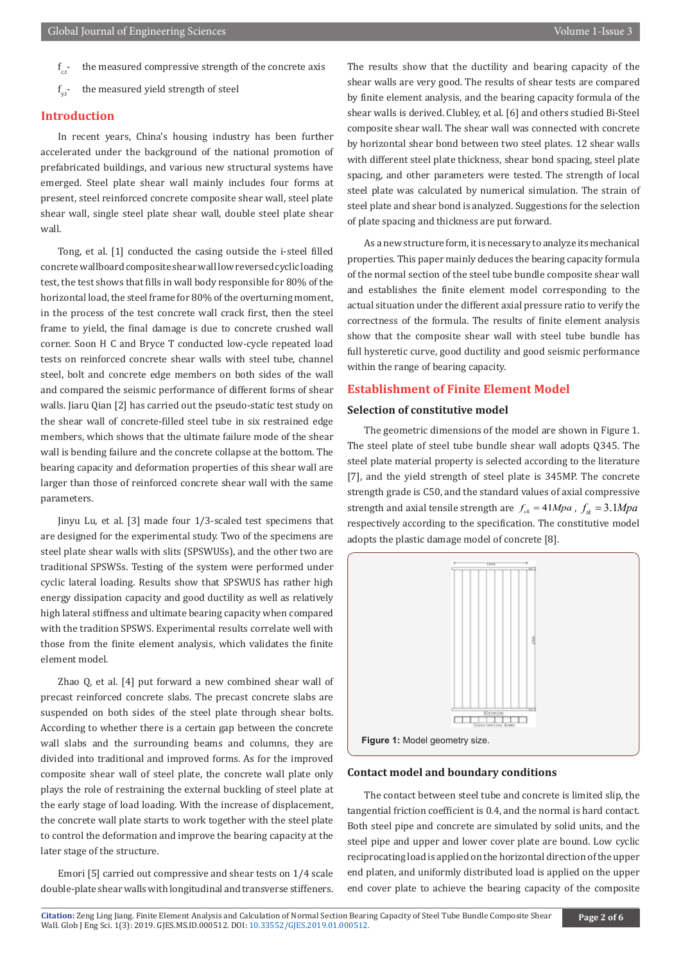- $f_{\epsilon}$ . the measured compressive strength of the concrete axis
- $f_{v^+}$ the measured yield strength of steel

### **Introduction**

In recent years, China's housing industry has been further accelerated under the background of the national promotion of prefabricated buildings, and various new structural systems have emerged. Steel plate shear wall mainly includes four forms at present, steel reinforced concrete composite shear wall, steel plate shear wall, single steel plate shear wall, double steel plate shear wall.

Tong, et al. [1] conducted the casing outside the i-steel filled concrete wallboard composite shear wall low reversed cyclic loading test, the test shows that fills in wall body responsible for 80% of the horizontal load, the steel frame for 80% of the overturning moment, in the process of the test concrete wall crack first, then the steel frame to yield, the final damage is due to concrete crushed wall corner. Soon H C and Bryce T conducted low-cycle repeated load tests on reinforced concrete shear walls with steel tube, channel steel, bolt and concrete edge members on both sides of the wall and compared the seismic performance of different forms of shear walls. Jiaru Qian [2] has carried out the pseudo-static test study on the shear wall of concrete-filled steel tube in six restrained edge members, which shows that the ultimate failure mode of the shear wall is bending failure and the concrete collapse at the bottom. The bearing capacity and deformation properties of this shear wall are larger than those of reinforced concrete shear wall with the same parameters.

Jinyu Lu, et al. [3] made four 1/3-scaled test specimens that are designed for the experimental study. Two of the specimens are steel plate shear walls with slits (SPSWUSs), and the other two are traditional SPSWSs. Testing of the system were performed under cyclic lateral loading. Results show that SPSWUS has rather high energy dissipation capacity and good ductility as well as relatively high lateral stiffness and ultimate bearing capacity when compared with the tradition SPSWS. Experimental results correlate well with those from the finite element analysis, which validates the finite element model.

Zhao Q, et al. [4] put forward a new combined shear wall of precast reinforced concrete slabs. The precast concrete slabs are suspended on both sides of the steel plate through shear bolts. According to whether there is a certain gap between the concrete wall slabs and the surrounding beams and columns, they are divided into traditional and improved forms. As for the improved composite shear wall of steel plate, the concrete wall plate only plays the role of restraining the external buckling of steel plate at the early stage of load loading. With the increase of displacement, the concrete wall plate starts to work together with the steel plate to control the deformation and improve the bearing capacity at the later stage of the structure.

Emori [5] carried out compressive and shear tests on 1/4 scale double-plate shear walls with longitudinal and transverse stiffeners. The results show that the ductility and bearing capacity of the shear walls are very good. The results of shear tests are compared by finite element analysis, and the bearing capacity formula of the shear walls is derived. Clubley, et al. [6] and others studied Bi-Steel composite shear wall. The shear wall was connected with concrete by horizontal shear bond between two steel plates. 12 shear walls with different steel plate thickness, shear bond spacing, steel plate spacing, and other parameters were tested. The strength of local steel plate was calculated by numerical simulation. The strain of steel plate and shear bond is analyzed. Suggestions for the selection of plate spacing and thickness are put forward.

As a newstructure form, itis necessary to analyze its mechanical properties. This paper mainly deduces the bearing capacity formula of the normal section of the steel tube bundle composite shear wall and establishes the finite element model corresponding to the actual situation under the different axial pressure ratio to verify the correctness of the formula. The results of finite element analysis show that the composite shear wall with steel tube bundle has full hysteretic curve, good ductility and good seismic performance within the range of bearing capacity.

### **Establishment of Finite Element Model**

#### **Selection of constitutive model**

The geometric dimensions of the model are shown in Figure 1. The steel plate of steel tube bundle shear wall adopts Q345. The steel plate material property is selected according to the literature [7], and the yield strength of steel plate is 345MP. The concrete strength grade is C50, and the standard values of axial compressive strength and axial tensile strength are  $f_{ck} = 41 Mpa$ ,  $f_{ik} = 3.1 Mpa$ respectively according to the specification. The constitutive model adopts the plastic damage model of concrete [8].



#### **Contact model and boundary conditions**

The contact between steel tube and concrete is limited slip, the tangential friction coefficient is 0.4, and the normal is hard contact. Both steel pipe and concrete are simulated by solid units, and the steel pipe and upper and lower cover plate are bound. Low cyclic reciprocating load is applied on the horizontal direction of the upper end platen, and uniformly distributed load is applied on the upper end cover plate to achieve the bearing capacity of the composite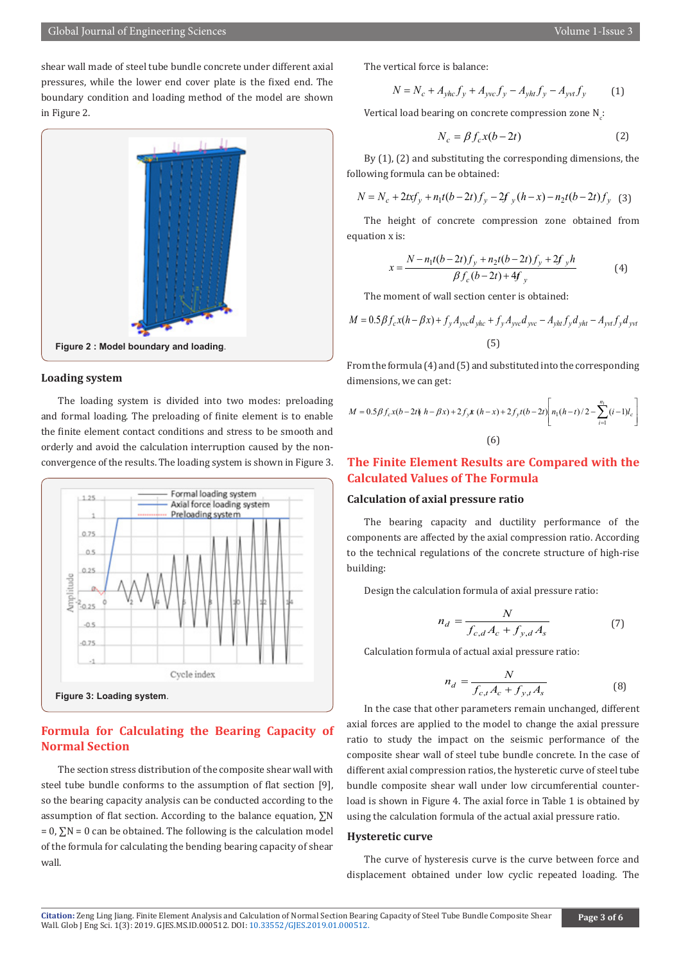shear wall made of steel tube bundle concrete under different axial pressures, while the lower end cover plate is the fixed end. The boundary condition and loading method of the model are shown in Figure 2.



#### **Loading system**

The loading system is divided into two modes: preloading and formal loading. The preloading of finite element is to enable the finite element contact conditions and stress to be smooth and orderly and avoid the calculation interruption caused by the nonconvergence of the results. The loading system is shown in Figure 3.



# **Formula for Calculating the Bearing Capacity of Normal Section**

The section stress distribution of the composite shear wall with steel tube bundle conforms to the assumption of flat section [9], so the bearing capacity analysis can be conducted according to the assumption of flat section. According to the balance equation, ∑N  $= 0$ ,  $\Sigma$ N = 0 can be obtained. The following is the calculation model of the formula for calculating the bending bearing capacity of shear wall

The vertical force is balance:

$$
N = N_c + A_{yhc} f_y + A_{yvc} f_y - A_{yht} f_y - A_{yvt} f_y
$$
 (1)

Vertical load bearing on concrete compression zone  $N_c$ :

$$
N_c = \beta f_c x (b - 2t) \tag{2}
$$

By (1), (2) and substituting the corresponding dimensions, the following formula can be obtained:

$$
N = N_c + 2txf_y + n_1t(b-2t)f_y - 2f_y(h-x) - n_2t(b-2t)f_y
$$
 (3)

The height of concrete compression zone obtained from equation x is:

$$
x = \frac{N - n_1t(b - 2t)f_y + n_2t(b - 2t)f_y + 2f_yh}{\beta f_c(b - 2t) + 4f_y}
$$
 (4)

The moment of wall section center is obtained:

$$
M = 0.5 \beta f_c x (h - \beta x) + f_y A_{yvc} d_{yhc} + f_y A_{yvc} d_{yvc} - A_{yht} f_y d_{yht} - A_{yvt} f_y d_{yvt}
$$
  
(5)

From the formula (4) and (5) and substituted into the corresponding dimensions, we can get:

$$
M = 0.5 \beta f_c x (b - 2t \hat{y} h - \beta x) + 2 f_y x (h - x) + 2 f_y t (b - 2t) \left[ n_1 (h - t) / 2 - \sum_{i=1}^{n_1} (i - 1) l_c \right]
$$
  
(6)

# **The Finite Element Results are Compared with the Calculated Values of The Formula**

#### **Calculation of axial pressure ratio**

The bearing capacity and ductility performance of the components are affected by the axial compression ratio. According to the technical regulations of the concrete structure of high-rise building:

Design the calculation formula of axial pressure ratio:

$$
n_d = \frac{N}{f_{c,d}A_c + f_{y,d}A_s}
$$
 (7)

Calculation formula of actual axial pressure ratio:

$$
n_d = \frac{N}{f_{c,t}A_c + f_{y,t}A_s}
$$
 (8)

In the case that other parameters remain unchanged, different axial forces are applied to the model to change the axial pressure ratio to study the impact on the seismic performance of the composite shear wall of steel tube bundle concrete. In the case of different axial compression ratios, the hysteretic curve of steel tube bundle composite shear wall under low circumferential counterload is shown in Figure 4. The axial force in Table 1 is obtained by using the calculation formula of the actual axial pressure ratio.

#### **Hysteretic curve**

The curve of hysteresis curve is the curve between force and displacement obtained under low cyclic repeated loading. The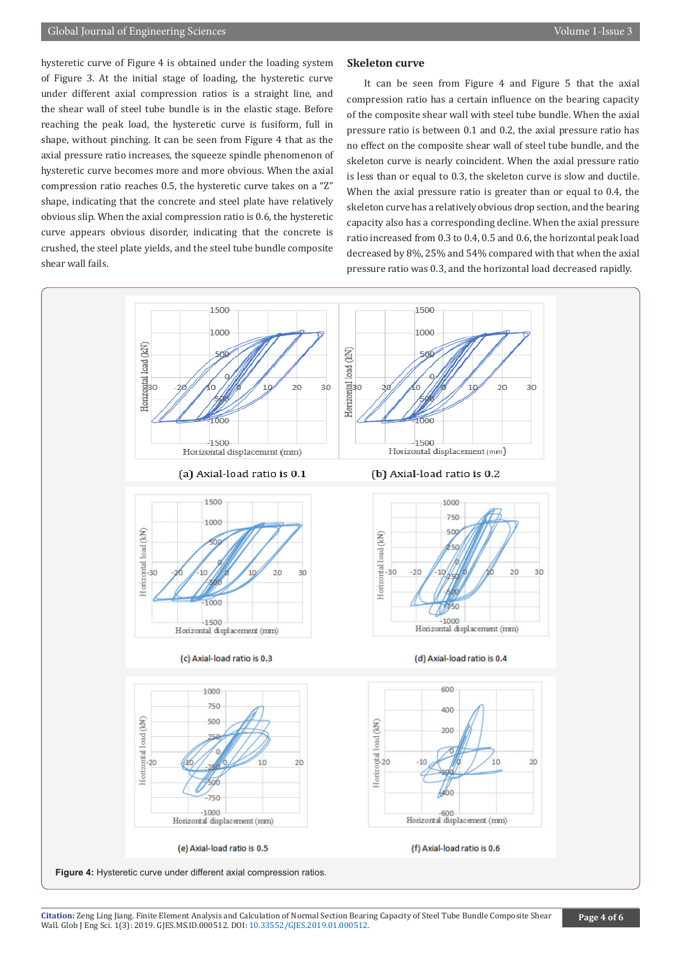hysteretic curve of Figure 4 is obtained under the loading system of Figure 3. At the initial stage of loading, the hysteretic curve under different axial compression ratios is a straight line, and the shear wall of steel tube bundle is in the elastic stage. Before reaching the peak load, the hysteretic curve is fusiform, full in shape, without pinching. It can be seen from Figure 4 that as the axial pressure ratio increases, the squeeze spindle phenomenon of hysteretic curve becomes more and more obvious. When the axial compression ratio reaches 0.5, the hysteretic curve takes on a "Z" shape, indicating that the concrete and steel plate have relatively obvious slip. When the axial compression ratio is 0.6, the hysteretic curve appears obvious disorder, indicating that the concrete is crushed, the steel plate yields, and the steel tube bundle composite shear wall fails.

#### **Skeleton curve**

It can be seen from Figure 4 and Figure 5 that the axial compression ratio has a certain influence on the bearing capacity of the composite shear wall with steel tube bundle. When the axial pressure ratio is between 0.1 and 0.2, the axial pressure ratio has no effect on the composite shear wall of steel tube bundle, and the skeleton curve is nearly coincident. When the axial pressure ratio is less than or equal to 0.3, the skeleton curve is slow and ductile. When the axial pressure ratio is greater than or equal to 0.4, the skeleton curve has a relatively obvious drop section, and the bearing capacity also has a corresponding decline. When the axial pressure ratio increased from 0.3 to 0.4, 0.5 and 0.6, the horizontal peak load decreased by 8%, 25% and 54% compared with that when the axial pressure ratio was 0.3, and the horizontal load decreased rapidly.

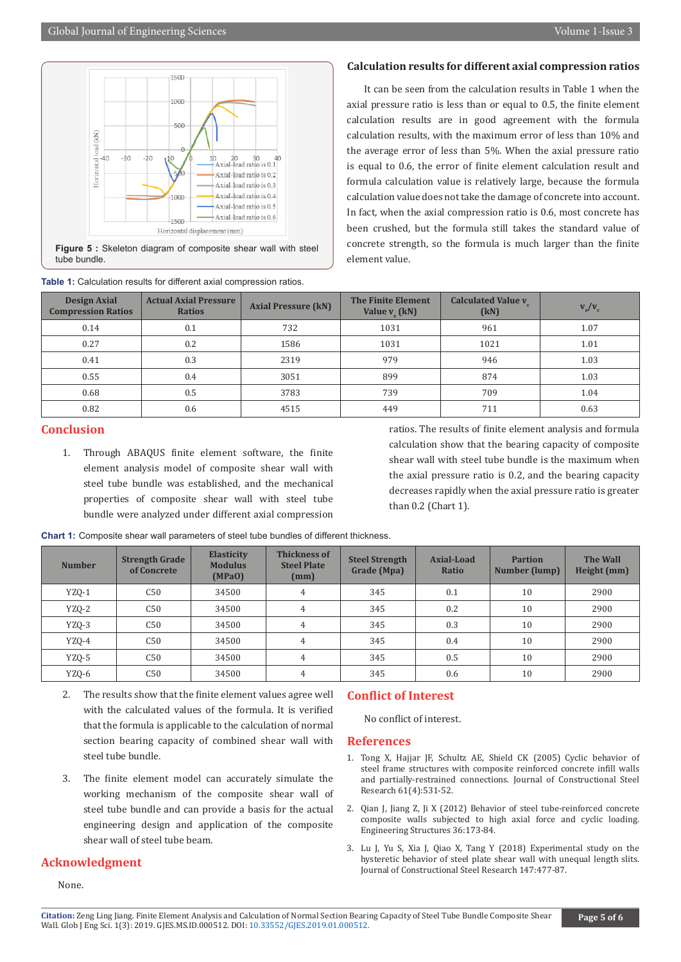

**Figure 5 :** Skeleton diagram of composite shear wall with steel tube bundle.

| <b>Design Axial</b><br><b>Compression Ratios</b> | <b>Actual Axial Pressure</b><br><b>Ratios</b> | <b>Axial Pressure (kN)</b> | <b>The Finite Element</b><br>Value $v_{\rm s}$ (kN) | <b>Calculated Value v</b><br>(kN) | $\mathbf{v}_{\rm s}/\mathbf{v}_{\rm c}$ |
|--------------------------------------------------|-----------------------------------------------|----------------------------|-----------------------------------------------------|-----------------------------------|-----------------------------------------|
| 0.14                                             | 0.1                                           | 732                        | 1031                                                | 961                               | 1.07                                    |
| 0.27                                             | 0.2                                           | 1586                       | 1031                                                | 1021                              | 1.01                                    |
| 0.41                                             | 0.3                                           | 2319                       | 979                                                 | 946                               | 1.03                                    |
| 0.55                                             | 0.4                                           | 3051                       | 899                                                 | 874                               | 1.03                                    |
| 0.68                                             | 0.5                                           | 3783                       | 739                                                 | 709                               | 1.04                                    |
| 0.82                                             | 0.6                                           | 4515                       | 449                                                 | 711                               | 0.63                                    |

# **Table 1:** Calculation results for different axial compression ratios.

#### **Calculation results for different axial compression ratios**

It can be seen from the calculation results in Table 1 when the axial pressure ratio is less than or equal to 0.5, the finite element calculation results are in good agreement with the formula calculation results, with the maximum error of less than 10% and the average error of less than 5%. When the axial pressure ratio is equal to 0.6, the error of finite element calculation result and formula calculation value is relatively large, because the formula calculation value does not take the damage of concrete into account. In fact, when the axial compression ratio is 0.6, most concrete has been crushed, but the formula still takes the standard value of concrete strength, so the formula is much larger than the finite element value.

# **Conclusion**

1. Through ABAQUS finite element software, the finite element analysis model of composite shear wall with steel tube bundle was established, and the mechanical properties of composite shear wall with steel tube bundle were analyzed under different axial compression

ratios. The results of finite element analysis and formula calculation show that the bearing capacity of composite shear wall with steel tube bundle is the maximum when the axial pressure ratio is 0.2, and the bearing capacity decreases rapidly when the axial pressure ratio is greater than 0.2 (Chart 1).

| <b>Chart 1:</b> Composite shear wall parameters of steel tube bundles of different thickness. |
|-----------------------------------------------------------------------------------------------|
|-----------------------------------------------------------------------------------------------|

| <b>Number</b> | <b>Strength Grade</b><br>of Concrete | <b>Elasticity</b><br><b>Modulus</b><br>(MPaO) | <b>Thickness of</b><br><b>Steel Plate</b><br>(mm) | <b>Steel Strength</b><br>Grade (Mpa) | Axial-Load<br>Ratio | <b>Partion</b><br>Number (lump) | <b>The Wall</b><br>Height (mm) |
|---------------|--------------------------------------|-----------------------------------------------|---------------------------------------------------|--------------------------------------|---------------------|---------------------------------|--------------------------------|
| <b>YZO-1</b>  | C50                                  | 34500                                         | 4                                                 | 345                                  | 0.1                 | 10                              | 2900                           |
| YZQ-2         | C50                                  | 34500                                         | $\overline{4}$                                    | 345                                  | 0.2                 | 10                              | 2900                           |
| YZQ-3         | C50                                  | 34500                                         | 4                                                 | 345                                  | 0.3                 | 10                              | 2900                           |
| YZQ-4         | C50                                  | 34500                                         | $\overline{4}$                                    | 345                                  | 0.4                 | 10                              | 2900                           |
| YZQ-5         | C50                                  | 34500                                         | $\overline{4}$                                    | 345                                  | 0.5                 | 10                              | 2900                           |
| YZQ-6         | C50                                  | 34500                                         | 4                                                 | 345                                  | 0.6                 | 10                              | 2900                           |

- 2. The results show that the finite element values agree well with the calculated values of the formula. It is verified that the formula is applicable to the calculation of normal section bearing capacity of combined shear wall with steel tube bundle.
- 3. The finite element model can accurately simulate the working mechanism of the composite shear wall of steel tube bundle and can provide a basis for the actual engineering design and application of the composite shear wall of steel tube beam.

#### **Acknowledgment**

None.

#### **Conflict of Interest**

No conflict of interest.

#### **References**

- 1. Tong X, Hajjar JF, Schultz AE, Shield CK (2005) Cyclic [behavior](https://experts.umn.edu/en/publications/cyclic-behavior-of-steel-frame-structures-with-composite-reinforc) of steel frame structures with composite [reinforced](https://experts.umn.edu/en/publications/cyclic-behavior-of-steel-frame-structures-with-composite-reinforc) concrete infill walls and [partially-restrained](https://experts.umn.edu/en/publications/cyclic-behavior-of-steel-frame-structures-with-composite-reinforc) connections. Journal of Constructional Steel Research [61\(4\):531-52.](https://experts.umn.edu/en/publications/cyclic-behavior-of-steel-frame-structures-with-composite-reinforc)
- 2. Qian J, Jiang Z, Ji X (2012) Behavior of steel [tube-reinforced](https://www.infona.pl/resource/bwmeta1.element.elsevier-727536d4-ad08-341b-a3b6-2b37b5aacaf9) concrete [composite](https://www.infona.pl/resource/bwmeta1.element.elsevier-727536d4-ad08-341b-a3b6-2b37b5aacaf9) walls subjected to high axial force and cyclic loading. [Engineering](https://www.infona.pl/resource/bwmeta1.element.elsevier-727536d4-ad08-341b-a3b6-2b37b5aacaf9) Structures 36:173-84.
- 3. Lu J, Yu S, Xia J, Qiao X, Tang Y (2018) Experimental study on the hysteretic behavior of steel plate shear wall with unequal length slits. Journal of Constructional Steel Research 147:477-87.